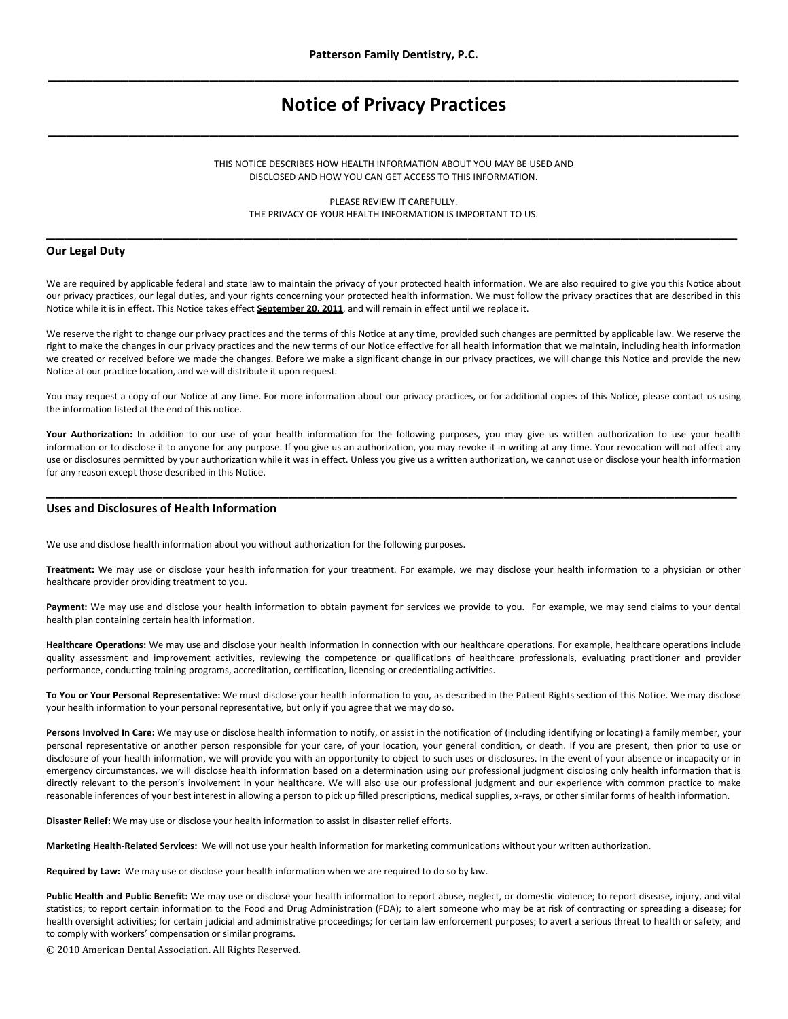# **Notice of Privacy Practices \_\_\_\_\_\_\_\_\_\_\_\_\_\_\_\_\_\_\_\_\_\_\_\_\_\_\_\_\_\_\_\_\_\_\_\_\_\_\_\_\_\_\_\_\_\_\_\_\_\_\_\_\_\_\_\_\_\_\_\_\_\_\_\_\_\_\_\_\_\_\_\_\_\_\_\_\_**

## THIS NOTICE DESCRIBES HOW HEALTH INFORMATION ABOUT YOU MAY BE USED AND DISCLOSED AND HOW YOU CAN GET ACCESS TO THIS INFORMATION.

PLEASE REVIEW IT CAREFULLY. THE PRIVACY OF YOUR HEALTH INFORMATION IS IMPORTANT TO US. **\_\_\_\_\_\_\_\_\_\_\_\_\_\_\_\_\_\_\_\_\_\_\_\_\_\_\_\_\_\_\_\_\_\_\_\_\_\_\_\_\_\_\_\_\_\_\_\_\_\_\_\_\_\_\_\_\_\_\_\_\_\_\_\_\_\_\_\_\_\_\_\_\_\_\_\_\_**

#### **Our Legal Duty**

We are required by applicable federal and state law to maintain the privacy of your protected health information. We are also required to give you this Notice about our privacy practices, our legal duties, and your rights concerning your protected health information. We must follow the privacy practices that are described in this Notice while it is in effect. This Notice takes effect **September 20, 2011**, and will remain in effect until we replace it.

We reserve the right to change our privacy practices and the terms of this Notice at any time, provided such changes are permitted by applicable law. We reserve the right to make the changes in our privacy practices and the new terms of our Notice effective for all health information that we maintain, including health information we created or received before we made the changes. Before we make a significant change in our privacy practices, we will change this Notice and provide the new Notice at our practice location, and we will distribute it upon request.

You may request a copy of our Notice at any time. For more information about our privacy practices, or for additional copies of this Notice, please contact us using the information listed at the end of this notice.

Your Authorization: In addition to our use of your health information for the following purposes, you may give us written authorization to use your health information or to disclose it to anyone for any purpose. If you give us an authorization, you may revoke it in writing at any time. Your revocation will not affect any use or disclosures permitted by your authorization while it was in effect. Unless you give us a written authorization, we cannot use or disclose your health information for any reason except those described in this Notice.

**\_\_\_\_\_\_\_\_\_\_\_\_\_\_\_\_\_\_\_\_\_\_\_\_\_\_\_\_\_\_\_\_\_\_\_\_\_\_\_\_\_\_\_\_\_\_\_\_\_\_\_\_\_\_\_\_\_\_\_\_\_\_\_\_\_\_\_\_\_\_\_\_\_\_\_\_\_**

## **Uses and Disclosures of Health Information**

We use and disclose health information about you without authorization for the following purposes.

**Treatment:** We may use or disclose your health information for your treatment. For example, we may disclose your health information to a physician or other healthcare provider providing treatment to you.

Payment: We may use and disclose your health information to obtain payment for services we provide to you. For example, we may send claims to your dental health plan containing certain health information.

**Healthcare Operations:** We may use and disclose your health information in connection with our healthcare operations. For example, healthcare operations include quality assessment and improvement activities, reviewing the competence or qualifications of healthcare professionals, evaluating practitioner and provider performance, conducting training programs, accreditation, certification, licensing or credentialing activities.

**To You or Your Personal Representative:** We must disclose your health information to you, as described in the Patient Rights section of this Notice. We may disclose your health information to your personal representative, but only if you agree that we may do so.

**Persons Involved In Care:** We may use or disclose health information to notify, or assist in the notification of (including identifying or locating) a family member, your personal representative or another person responsible for your care, of your location, your general condition, or death. If you are present, then prior to use or disclosure of your health information, we will provide you with an opportunity to object to such uses or disclosures. In the event of your absence or incapacity or in emergency circumstances, we will disclose health information based on a determination using our professional judgment disclosing only health information that is directly relevant to the person's involvement in your healthcare. We will also use our professional judgment and our experience with common practice to make reasonable inferences of your best interest in allowing a person to pick up filled prescriptions, medical supplies, x-rays, or other similar forms of health information.

**Disaster Relief:** We may use or disclose your health information to assist in disaster relief efforts.

**Marketing Health-Related Services:** We will not use your health information for marketing communications without your written authorization.

**Required by Law:** We may use or disclose your health information when we are required to do so by law.

**Public Health and Public Benefit:** We may use or disclose your health information to report abuse, neglect, or domestic violence; to report disease, injury, and vital statistics; to report certain information to the Food and Drug Administration (FDA); to alert someone who may be at risk of contracting or spreading a disease; for health oversight activities; for certain judicial and administrative proceedings; for certain law enforcement purposes; to avert a serious threat to health or safety; and to comply with workers' compensation or similar programs.

© 2010 American Dental Association. All Rights Reserved.